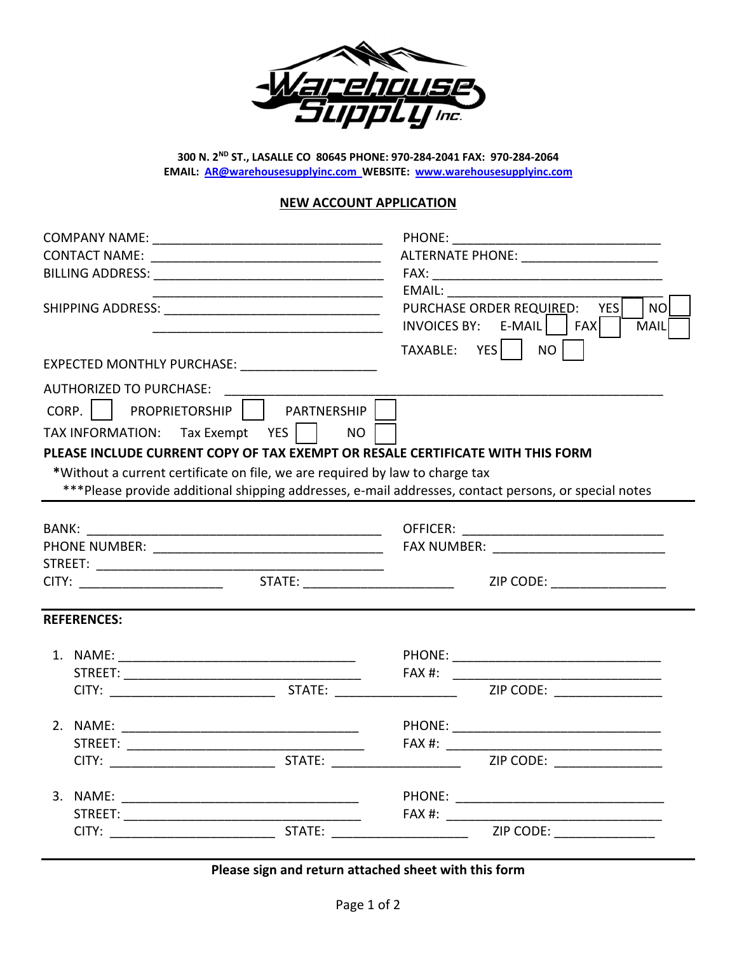

**300 N. 2ND ST., LASALLE CO 80645 PHONE: 970‐284‐2041 FAX: 970‐284‐2064 EMAIL: AR@warehousesupplyinc.com WEBSITE: www.warehousesupplyinc.com**

#### **NEW ACCOUNT APPLICATION**

|  |                                                                                                                                                                                                                                                                                                      |           | PHONE: The contract of the contract of the contract of the contract of the contract of the contract of the contract of the contract of the contract of the contract of the contract of the contract of the contract of the con<br>TAXABLE: YES | ALTERNATE PHONE: _______________________<br>EMAIL: EMAIL: And the state of the state of the state of the state of the state of the state of the state of the state of the state of the state of the state of the state of the state of the state of the state of the state<br>PURCHASE ORDER REQUIRED: YES<br><b>NO</b><br>$INVOICES BY: E-MAIL$ $FAX$<br>MAIL<br>NO <sub>1</sub> |  |
|--|------------------------------------------------------------------------------------------------------------------------------------------------------------------------------------------------------------------------------------------------------------------------------------------------------|-----------|------------------------------------------------------------------------------------------------------------------------------------------------------------------------------------------------------------------------------------------------|-----------------------------------------------------------------------------------------------------------------------------------------------------------------------------------------------------------------------------------------------------------------------------------------------------------------------------------------------------------------------------------|--|
|  | EXPECTED MONTHLY PURCHASE: _______________________                                                                                                                                                                                                                                                   |           |                                                                                                                                                                                                                                                |                                                                                                                                                                                                                                                                                                                                                                                   |  |
|  | AUTHORIZED TO PURCHASE: _____________________<br>CORP.     PROPRIETORSHIP     PARTNERSHIP  <br>TAX INFORMATION: Tax Exempt YES    <br>PLEASE INCLUDE CURRENT COPY OF TAX EXEMPT OR RESALE CERTIFICATE WITH THIS FORM<br>*Without a current certificate on file, we are required by law to charge tax | <b>NO</b> |                                                                                                                                                                                                                                                | ***Please provide additional shipping addresses, e-mail addresses, contact persons, or special notes                                                                                                                                                                                                                                                                              |  |
|  |                                                                                                                                                                                                                                                                                                      |           |                                                                                                                                                                                                                                                |                                                                                                                                                                                                                                                                                                                                                                                   |  |
|  |                                                                                                                                                                                                                                                                                                      |           |                                                                                                                                                                                                                                                |                                                                                                                                                                                                                                                                                                                                                                                   |  |
|  |                                                                                                                                                                                                                                                                                                      |           |                                                                                                                                                                                                                                                |                                                                                                                                                                                                                                                                                                                                                                                   |  |
|  |                                                                                                                                                                                                                                                                                                      |           |                                                                                                                                                                                                                                                | ZIP CODE: _________________                                                                                                                                                                                                                                                                                                                                                       |  |
|  | <b>REFERENCES:</b>                                                                                                                                                                                                                                                                                   |           |                                                                                                                                                                                                                                                |                                                                                                                                                                                                                                                                                                                                                                                   |  |
|  |                                                                                                                                                                                                                                                                                                      |           |                                                                                                                                                                                                                                                |                                                                                                                                                                                                                                                                                                                                                                                   |  |
|  |                                                                                                                                                                                                                                                                                                      |           |                                                                                                                                                                                                                                                | ZIP CODE: __________________                                                                                                                                                                                                                                                                                                                                                      |  |
|  |                                                                                                                                                                                                                                                                                                      |           |                                                                                                                                                                                                                                                |                                                                                                                                                                                                                                                                                                                                                                                   |  |
|  |                                                                                                                                                                                                                                                                                                      |           |                                                                                                                                                                                                                                                | ZIP CODE: NAME OF STREET                                                                                                                                                                                                                                                                                                                                                          |  |
|  |                                                                                                                                                                                                                                                                                                      |           |                                                                                                                                                                                                                                                |                                                                                                                                                                                                                                                                                                                                                                                   |  |
|  |                                                                                                                                                                                                                                                                                                      |           |                                                                                                                                                                                                                                                |                                                                                                                                                                                                                                                                                                                                                                                   |  |

**Please sign and return attached sheet with this form**